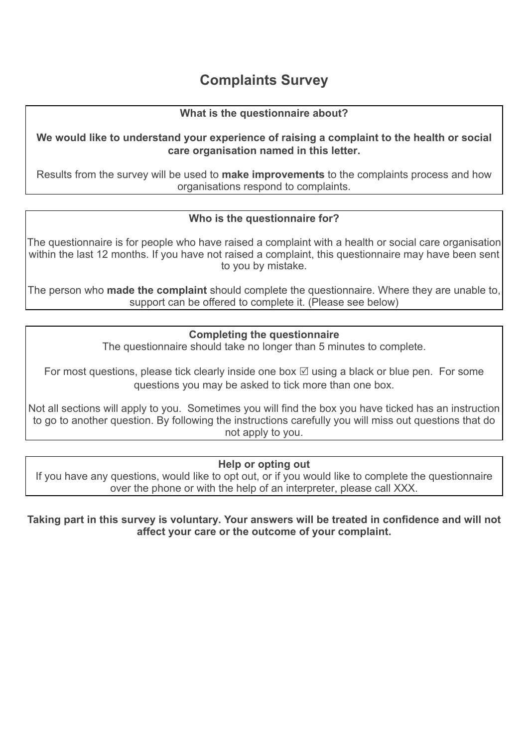# **Complaints Survey**

#### **What is the questionnaire about?**

**We would like to understand your experience of raising a complaint to the health or social care organisation named in this letter.** 

Results from the survey will be used to **make improvements** to the complaints process and how organisations respond to complaints.

### **Who is the questionnaire for?**

The questionnaire is for people who have raised a complaint with a health or social care organisation within the last 12 months. If you have not raised a complaint, this questionnaire may have been sent to you by mistake.

The person who **made the complaint** should complete the questionnaire. Where they are unable to, support can be offered to complete it. (Please see below)

#### **Completing the questionnaire**

The questionnaire should take no longer than 5 minutes to complete.

For most questions, please tick clearly inside one box  $\boxtimes$  using a black or blue pen. For some questions you may be asked to tick more than one box.

Not all sections will apply to you. Sometimes you will find the box you have ticked has an instruction to go to another question. By following the instructions carefully you will miss out questions that do not apply to you.

#### **Help or opting out**

If you have any questions, would like to opt out, or if you would like to complete the questionnaire over the phone or with the help of an interpreter, please call XXX.

**Taking part in this survey is voluntary. Your answers will be treated in confidence and will not affect your care or the outcome of your complaint.**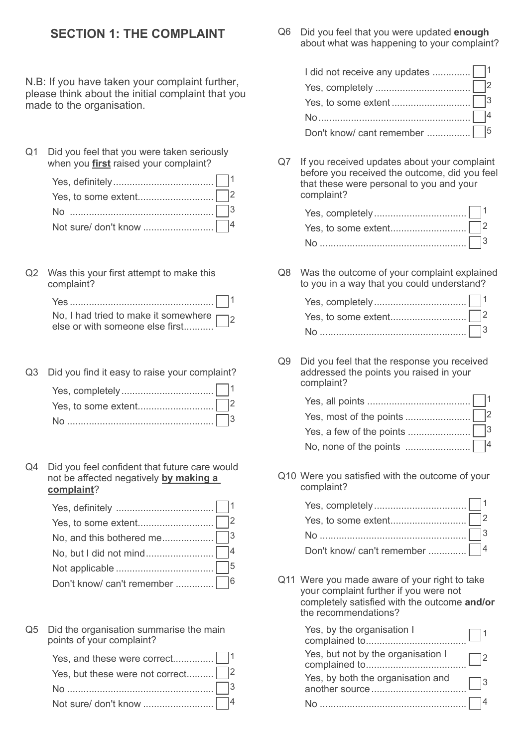## **SECTION 1: THE COMPLAINT**

N.B: If you have taken your complaint further, please think about the initial complaint that you made to the organisation.

Q1 Did you feel that you were taken seriously when you **first** raised your complaint?

Q2 Was this your first attempt to make this complaint?

| No, I had tried to make it somewhere 2<br>else or with someone else first |  |
|---------------------------------------------------------------------------|--|

- Q3 Did you find it easy to raise your complaint? Yes, completely.................................. 1 Yes, to some extent............................ 2 No ...................................................... 3
- Q4 Did you feel confident that future care would not be affected negatively **by making a complaint**?

Q5 Did the organisation summarise the main points of your complaint?

| Yes, but these were not correct $\Box$ 2 |  |
|------------------------------------------|--|
|                                          |  |
|                                          |  |

Q6 Did you feel that you were updated **enough** about what was happening to your complaint?

| No $\sim$ 14 |  |
|--------------|--|
|              |  |

Q7 If you received updates about your complaint before you received the outcome, did you feel that these were personal to you and your complaint?

Q8 Was the outcome of your complaint explained to you in a way that you could understand?

Q9 Did you feel that the response you received addressed the points you raised in your complaint?

| No, none of the points $\ldots$ $\blacksquare$ 4 |  |
|--------------------------------------------------|--|

Q10 Were you satisfied with the outcome of your complaint?

| No $\cdots$ 3 |  |
|---------------|--|
|               |  |

Q11 Were you made aware of your right to take your complaint further if you were not completely satisfied with the outcome **and/or**  the recommendations?

| Yes, by the organisation I                          |  |
|-----------------------------------------------------|--|
| Yes, but not by the organisation I                  |  |
| Yes, by both the organisation and<br>another source |  |
|                                                     |  |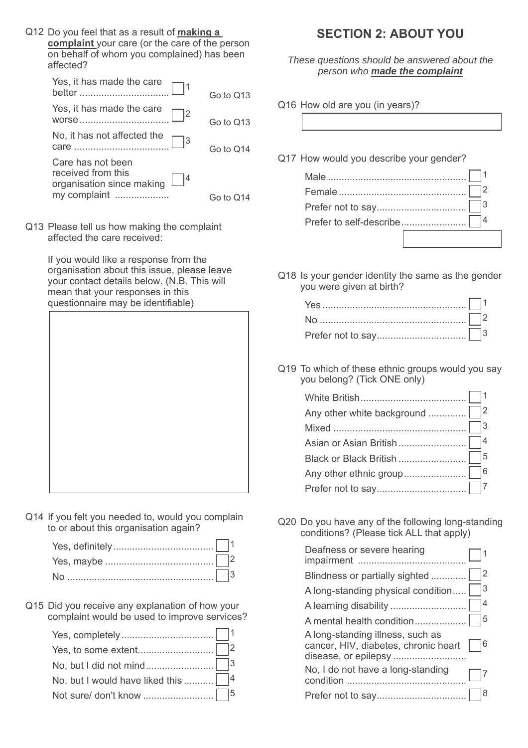Q12 Do you feel that as a result of **making a complaint** your care (or the care of the person on behalf of whom you complained) has been affected?

|                                                                                 | Go to Q13 |
|---------------------------------------------------------------------------------|-----------|
|                                                                                 | Go to Q13 |
| $\Box$ 3                                                                        | Go to Q14 |
| Care has not been<br>received from this<br>$L^{4}$<br>organisation since making |           |
| my complaint                                                                    | Go to Q   |

Q13 Please tell us how making the complaint affected the care received:

> If you would like a response from the organisation about this issue, please leave your contact details below. (N.B. This will mean that your responses in this questionnaire may be identifiable)



Q14 If you felt you needed to, would you complain to or about this organisation again?

Q15 Did you receive any explanation of how your complaint would be used to improve services?

| No, but I would have liked this $\Box$ <sup>4</sup> |  |
|-----------------------------------------------------|--|
|                                                     |  |

## **SECTION 2: ABOUT YOU**

*These questions should be answered about the person who made the complaint*

Q16 How old are you (in years)?

Q17 How would you describe your gender? Male ................................................... 1

Q18 Is your gender identity the same as the gender you were given at birth?

Q19 To which of these ethnic groups would you say you belong? (Tick ONE only)

| Any other white background   2 |
|--------------------------------|
|                                |
|                                |
|                                |
|                                |
|                                |
|                                |

Q20 Do you have any of the following long-standing conditions? (Please tick ALL that apply)

| Deafness or severe hearing                                               |    |
|--------------------------------------------------------------------------|----|
| Blindness or partially sighted                                           |    |
| A long-standing physical condition                                       | 13 |
| A learning disability                                                    | 14 |
|                                                                          | 15 |
| A long-standing illness, such as<br>cancer, HIV, diabetes, chronic heart | 16 |
| No, I do not have a long-standing                                        |    |
|                                                                          |    |